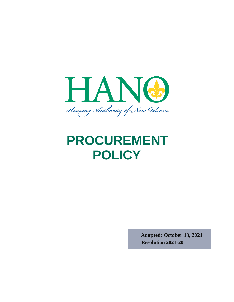

# **PROCUREMENT POLICY**

**Adopted: October 13, 2021 Resolution 2021-20**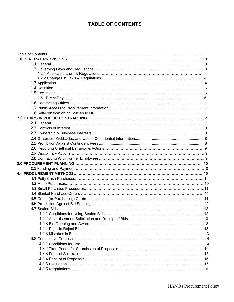# **TABLE OF CONTENTS**

<span id="page-1-0"></span>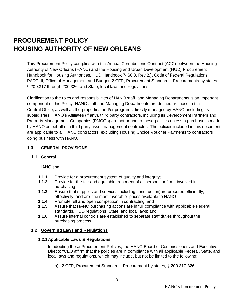# **PROCUREMENT POLICY HOUSING AUTHORITY OF NEW ORLEANS**

This Procurement Policy complies with the Annual Contributions Contract (ACC) between the Housing Authority of New Orleans (HANO) and the Housing and Urban Development (HUD) Procurement Handbook for Housing Authorities, HUD Handbook 7460.8, Rev 2,), Code of Federal Regulations, PART III, Office of Management and Budget, 2 CFR, Procurement Standards, Procurements by states § 200.317 through 200.326, and State, local laws and regulations.

Clarification to the roles and responsibilities of HANO staff, and Managing Departments is an important component of this Policy. HANO staff and Managing Departments are defined as those in the Central Office, as well as the properties and/or programs directly managed by HANO, including its subsidiaries. HANO's Affiliates (if any), third party contractors, including its Development Partners and Property Management Companies (PMCOs) are not bound to these policies unless a purchase is made by HANO on behalf of a third party asset management contractor. The policies included in this document are applicable to all HANO contractors, excluding Housing Choice Voucher Payments to contractors doing business with HANO.

# <span id="page-3-1"></span><span id="page-3-0"></span>**1.0 GENERAL PROVISIONS**

#### **1.1 General**

HANO shall:

- **1.1.1** Provide for a procurement system of quality and integrity:
- **1.1.2** Provide for the fair and equitable treatment of all persons or firms involved in purchasing;
- **1.1.3** Ensure that supplies and services including construction)are procured efficiently, effectively, and are the most favorable prices available to HANO;
- **1.1.4** Promote full and open competition in contracting; and
- **1.1.5** Assure that HANO purchasing actions are in full compliance with applicable Federal standards, HUD regulations, State, and local laws; and
- **1.1.6** Assure internal controls are established to separate staff duties throughout the purchasing process.

#### <span id="page-3-2"></span>**1.2 Governing Laws and Regulations**

#### **1.2.1Applicable Laws & Regulations**

In adopting these Procurement Policies, the HANO Board of Commissioners and Executive Director/CEO affirm that the policies are in compliance with all applicable Federal, State, and local laws and regulations, which may include, but not be limited to the following:

a) 2 CFR, Procurement Standards, Procurement by states, § 200.317-326;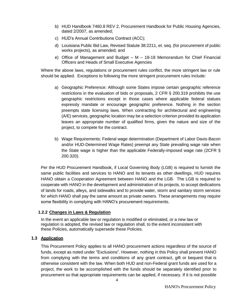- b) HUD Handbook 7460.8 REV 2, Procurement Handbook for Public Housing Agencies, dated 2/2007, as amended;
- c) HUD's Annual Contributions Contract (ACC);
- d) Louisiana Public Bid Law, Revised Statute 38:2211, et. seq. (for procurement of public works projects), as amended; and
- e) Office of Management and Budget M 18-18 Memorandum for Chief Financial Officers and Heads of Small Executive Agencies

Where the above laws, regulations or procurement rules conflict, the more stringent law or rule should be applied. Exceptions to following the more stringent procurement rules include:

- a) Geographic Preference: Although some States impose certain geographic reference restrictions in the evaluation of bids or proposals, 2 CFR § 200.319 prohibits the use geographic restrictions except in those cases where applicable federal statues expressly mandate or encourage geographic preference. Nothing in the section preempts state licensing laws. When contracting for architectural and engineering (A/E) services, geographic location may be a selection criterion provided its application leaves an appropriate number of qualified firms, given the nature and size of the project, to compete for the contract.
- b) Wage Requirements: Federal wage determination (Department of Labor Davis-Bacon and/or HUD-Determined Wage Rates) preempt any State prevailing wage rate when the State wage is higher than the applicable Federally-imposed wage rate (2CFR § 200.320).

Per the HUD Procurement Handbook, if Local Governing Body (LGB) is required to furnish the same public facilities and services to HANO and its tenants as other dwellings, HUD requires HANO obtain a Cooperation Agreement between HANO and the LGB. The LGB is required to cooperate with HANO in the development and administration of its projects, to accept dedications of lands for roads, alleys, and sidewalks and to provide water, storm and sanitary storm services for which HANO shall pay the same amount as private owners. These arrangements may require some flexibility in complying with HANO's procurement requirements.

# **1.2.2 Changes in Laws & Regulation**

In the event an applicable law or regulation is modified or eliminated, or a new law or regulation is adopted, the revised law or regulation shall, to the extent inconsistent with these Policies, automatically supersede these Policies.

# **1.3 Application**

This Procurement Policy applies to all HANO procurement actions regardless of the source of funds, except as noted under "Exclusions". However, nothing in this Policy shall prevent HANO from complying with the terms and conditions of any grant contract, gift or bequest that is otherwise consistent with the law. When both HUD and non-Federal grant funds are used for a project, the work to be accomplished with the funds should be separately identified prior to procurement so that appropriate requirements can be applied, if necessary. If it is not possible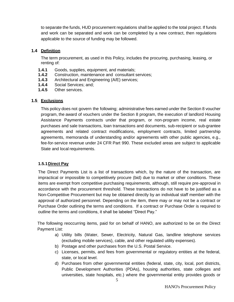to separate the funds, HUD procurement regulations shall be applied to the total project. If funds and work can be separated and work can be completed by a new contract, then regulations applicable to the source of funding may be followed.

# <span id="page-5-0"></span>**1.4 Definition**

The term procurement, as used in this Policy, includes the procuring, purchasing, leasing, or renting of:

- **1.4.1** Goods, supplies, equipment, and materials;
- **1.4.2** Construction, maintenance and consultant services;
- **1.4.3** Architectural and Engineering (A/E) services;
- **1.4.4** Social Services; and;
- **1.4.5** Other services.

# <span id="page-5-1"></span>**1.5 Exclusions**

This policy does not govern the following; administrative fees earned under the Section 8 voucher program, the award of vouchers under the Section 8 program, the execution of landlord Housing Assistance Payments contracts under that program, or non-program income, real estate purchases and sale transactions, loan transactions and documents, sub-recipient or sub-grantee agreements and related contract modifications, employment contracts, limited partnership agreements, memoranda of understanding and/or agreements with other public agencies, e.g., fee-for-service revenue under 24 CFR Part 990. These excluded areas are subject to applicable State and local requirements.

# **1.5.1Direct Pay**

The Direct Payments List is a list of transactions which, by the nature of the transaction, are impractical or impossible to competitively procure (bid) due to market or other conditions. These items are exempt from competitive purchasing requirements, although, still require pre-approval in accordance with the procurement threshold. These transactions do not have to be justified as a Non-Competitive Procurement but may be obtained directly by an individual staff member with the approval of authorized personnel. Depending on the item, there may or may not be a contract or Purchase Order outlining the terms and conditions. If a contract or Purchase Order is required to outline the terms and conditions, it shall be labeled "Direct Pay."

The following reoccurring items, paid for on behalf of HANO, are authorized to be on the Direct Payment List:

- a) Utility bills (Water, Sewer, Electricity, Natural Gas, landline telephone services (excluding mobile services), cable, and other regulated utility expenses).
- b) Postage and other purchases from the U.S. Postal Service.
- c) Licenses, permits, and fees from governmental or regulatory entities at the federal, state, or local level.
- d) Purchases from other governmental entities (federal, state, city, local, port districts, Public Development Authorities (PDAs), housing authorities, state colleges and universities, state hospitals, etc.) where the governmental entity provides goods or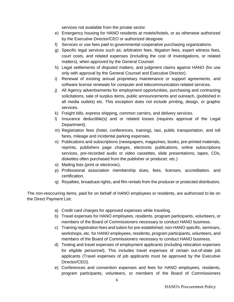services not available from the private sector.

- e) Emergency housing for HANO residents at motels/hotels, or as otherwise authorized by the Executive Director/CEO or authorized designee.
- f) Services or use fees paid to governmental cooperative purchasing organizations.
- g) Specific legal services such as; arbitration fees, litigation fees, expert witness fees, court costs, and related expenses (including the cost of investigations, or related matters), when approved by the General Counsel.
- h) Legal settlements of disputed matters, and judgment claims against HANO (for use only with approval by the General Counsel and Executive Director).
- i) Renewal of existing annual proprietary maintenance or support agreements, and software license renewals for computer and telecommunication-related services.
- j) All Agency advertisements for employment opportunities, purchasing and contracting solicitations, sale of surplus items, public announcements and outreach, (published in all media outlets) etc. This exception does not include printing, design, or graphic services.
- k) Freight bills, express shipping, common carriers, and delivery services.
- l) Insurance deductible(s) and or related losses (requires approval of the Legal Department).
- m) Registration fees (hotel, conferences, training), taxi, public transportation, and toll fares, mileage and incidental parking expenses.
- n) Publications and subscriptions (newspapers, magazines, books, pre-printed materials, reprints, publishers page charges, electronic publications, online subscriptions services, pre-recorded audio or video cassettes, slide presentations, tapes, CDs, diskettes often purchased from the publisher or producer; etc.)
- o) Mailing lists (print or electronic).
- p) Professional association membership dues, fees, licenses, accreditation, and certification.
- q) Royalties, broadcast rights, and film rentals from the producer or protected distributors.

The non-reoccurring items, paid for on behalf of HANO employees or residents, are authorized to be on the Direct Payment List:

- a) Credit card charges for approved expenses while traveling.
- b) Travel expenses for HANO employees, residents, program participants, volunteers, or members of the Board of Commissioners necessary to conduct HANO business.
- c) Training registration fees and tuition for pre-established, non-HANO specific, seminars, workshops, etc. for HANO employees, residents, program participants, volunteers, and members of the Board of Commissioners necessary to conduct HANO business.
- d) Testing and travel expenses of employment applicants (including relocation expenses for eligible personnel). This includes travel expenses of certain out-of-state job applicants (Travel expenses of job applicants must be approved by the Executive Director/CEO).
- e) Conferences and convention expenses and fees for HANO employees, residents, program participants, volunteers, or members of the Board of Commissioners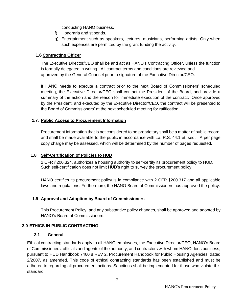conducting HANO business.

- f) Honoraria and stipends.
- g) Entertainment such as speakers, lectures, musicians, performing artists. Only when such expenses are permitted by the grant funding the activity.

# **1.6 Contracting Officer**

The Executive Director/CEO shall be and act as HANO's Contracting Officer, unless the function is formally delegated in writing. All contract terms and conditions are reviewed and approved by the General Counsel prior to signature of the Executive Director/CEO.

If HANO needs to execute a contract prior to the next Board of Commissioners' scheduled meeting, the Executive Director/CEO shall contact the President of the Board, and provide a summary of the action and the reason for immediate execution of the contract. Once approved by the President, and executed by the Executive Director/CEO, the contract will be presented to the Board of Commissioners' at the next scheduled meeting for ratification.

# <span id="page-7-0"></span> **1.7. Public Access to Procurement Information**

Procurement information that is not considered to be proprietary shall be a matter of public record, and shall be made available to the public in accordance with La. R.S. 44:1 et. seq. A per page copy charge may be assessed, which will be determined by the number of pages requested.

# **1.8 Self-Certification of Policies to HUD**

2 CFR §200.324, authorizes a housing authority to self-certify its procurement policy to HUD. Such self-certification does not limit HUD's right to survey the procurement policy.

HANO certifies its procurement policy is in compliance with 2 CFR §200.317 and all applicable laws and regulations. Furthermore, the HANO Board of Commissioners has approved the policy.

#### **1.9 Approval and Adoption by Board of Commissioners**

<span id="page-7-2"></span>This Procurement Policy, and any substantive policy changes, shall be approved and adopted by HANO's Board of Commissioners.

#### <span id="page-7-1"></span>**2.0 ETHICS IN PUBLIC CONTRACTING**

#### **2.1 General**

Ethical contracting standards apply to all HANO employees, the Executive Director/CEO, HANO's Board of Commissioners, officials and agents of the authority, and contractors with whom HANO does business, pursuant to HUD Handbook 7460.8 REV 2, Procurement Handbook for Public Housing Agencies, dated 2/2007, as amended. This code of ethical contracting standards has been established and must be adhered to regarding all procurement actions. Sanctions shall be implemented for those who violate this standard.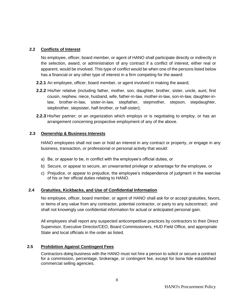# <span id="page-8-0"></span>**2.2 Conflicts of Interest**

No employee, officer, board member, or agent of HANO shall participate directly or indirectly in the selection, award, or administration of any contract if a conflict of interest, either real or apparent, would be involved. This type of conflict would be when one of the persons listed below has a financial or any other type of interest in a firm competing for the award:

- **2.2.1** An employee, officer, board member, or agent involved in making the award;
- **2.2.2** His/her relative (including father, mother, son, daughter, brother, sister, uncle, aunt, first cousin, nephew, niece, husband, wife, father-in-law, mother-in-law, son-in-law, daughter-inlaw, brother-in-law, sister-in-law, stepfather, stepmother, stepson, stepdaughter, stepbrother, stepsister, half-brother, or half-sister);
- **2.2.3** His/her partner; or an organization which employs or is negotiating to employ, or has an arrangement concerning prospective employment of any of the above.

#### **2.3 Ownership & Business Interests**

HANO employees shall not own or hold an interest in any contract or property, or engage in any business, transaction, or professional or personal activity that would:

- a) Be, or appear to be, in conflict with the employee's official duties, or
- b) Secure, or appear to secure, an unwarranted privilege or advantage for the employee, or
- c) Prejudice, or appear to prejudice, the employee's independence of judgment in the exercise of his or her official duties relating to HANO.

# <span id="page-8-1"></span> **2.4 Gratuities, Kickbacks, and Use of Confidential Information**

No employee, officer, board member, or agent of HANO shall ask for or accept gratuities, favors, or items of any value from any contractor, potential contractor, or party to any subcontract; and shall not knowingly use confidential information for actual or anticipated personal gain.

All employees shall report any suspected anticompetitive practices by contractors to their Direct Supervisor, Executive Director/CEO, Board Commissioners, HUD Field Office, and appropriate State and local officials in the order as listed.

# <span id="page-8-2"></span>**2.5 Prohibition Against Contingent Fees**

Contractors doing business with the HANO must not hire a person to solicit or secure a contract for a commission, percentage, brokerage, or contingent fee, except for bona fide established commercial selling agencies.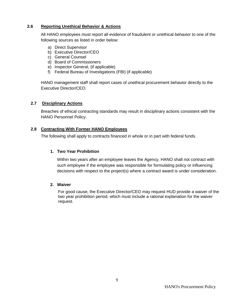# **2.6 Reporting Unethical Behavior & Actions**

All HANO employees must report all evidence of fraudulent or unethical behavior to one of the following sources as listed in order below:

- a) Direct Supervisor
- b) Executive Director/CEO
- c) General Counsel
- d) Board of Commissioners
- e) Inspector General, (if applicable)
- f) Federal Bureau of Investigations (FBI) (if applicable)

HANO management staff shall report cases of unethical procurement behavior directly to the Executive Director/CEO.

#### **2.7 Disciplinary Actions**

Breaches of ethical contracting standards may result in disciplinary actions consistent with the HANO Personnel Policy.

#### **2.8 Contracting With Former HANO Employees**

The following shall apply to contracts financed in whole or in part with federal funds.

#### **1. Two Year Prohibition**

Within two years after an employee leaves the Agency, HANO shall not contract with such employee if the employee was responsible for formulating policy or influencing decisions with respect to the project(s) where a contract award is under consideration.

#### **2. Waiver**

For good cause, the Executive Director/CEO may request HUD provide a waiver of the two year prohibition period, which must include a rational explanation for the waiver request.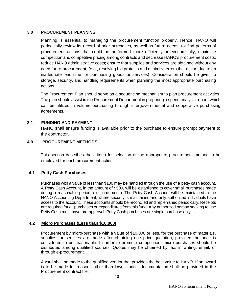#### <span id="page-10-0"></span>**3.0 PROCUREMENT PLANNING**

Planning is essential to managing the procurement function properly. Hence, HANO will periodically review its record of prior purchases, as well as future needs, to: find patterns of procurement actions that could be performed more efficiently or economically; maximize competition and competitive pricing among contracts and decrease HANO's procurement costs; reduce HANO administrative costs; ensure that supplies and services are obtained without any need for re-procurement, (e.g., resolving bid protests and minimize errors that occur due to an inadequate lead time for purchasing goods or services). Consideration should be given to storage, security, and handling requirements when planning the most appropriate purchasing actions.

The Procurement Plan should serve as a sequencing mechanism to plan procurement activities. The plan should assist in the Procurement Department in preparing a spend analysis report, which can be utilized in volume purchasing through intergovernmental and cooperative purchasing agreements.

#### **3.1 FUNDING AND PAYMENT**

HANO shall ensure funding is available prior to the purchase to ensure prompt payment to the contractor.

#### **4.0 PROCUREMENT METHODS**

This section describes the criteria for selection of the appropriate procurement method to be employed for each procurement action.

#### <span id="page-10-1"></span>**4.1 Petty Cash Purchases**

Purchases with a value of less than \$100 may be handled through the use of a petty cash account. A Petty Cash Account, in the amount of \$500, will be established to cover small purchases made during a reasonable period, e.g., one month. The Petty Cash Account will be maintained in the HANO Accounting Department, where security is maintained and only authorized individuals have access to the account. These accounts should be reconciled and replenished periodically. Receipts are required for all purchases or expenditures from this fund. Any authorized person seeking to use Petty Cash must have pre-approval. Petty Cash purchases are single purchase only.

#### <span id="page-10-2"></span>**4.2 Micro Purchases (Less than \$10,000)**

Procurement by micro-purchase with a value of \$10,000 or less, for the purchase of materials, supplies, or services are made after obtaining one price quotation, provided the price is considered to be reasonable. In order to promote competition, micro purchases should be distributed among qualified sources. Quotes may be obtained by fax, in writing, email, or through e-procurement.

Award shall be made to the qualified vendor that provides the best value to HANO. If an award is to be made for reasons other than lowest price, documentation shall be provided in the Procurement contract file.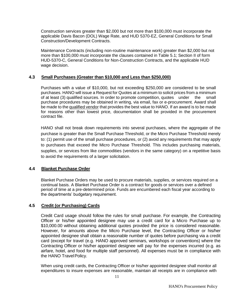Construction services greater than \$2,000 but not more than \$100,000 must incorporate the applicable Davis Bacon (DOL) Wage Rate, and HUD 5370-EZ, General Conditions for Small Construction/Development Contracts.

Maintenance Contracts (including non-routine maintenance work) greater than \$2,000 but not more than \$100,000 must incorporate the clauses contained in Table 5.1; Section II of form HUD-5370-C, General Conditions for Non-Construction Contracts, and the applicable HUD wage decision.

#### **4.3 Small Purchases (Greater than \$10,000 and Less than \$250,000)**

<span id="page-11-0"></span>Purchases with a value of \$10,000, but not exceeding \$250,000 are considered to be small purchases. HANO will issue a Request for Quotes at a minimum to solicit prices from a minimum of at least (3) qualified sources. In order to promote competition, quotes under the small purchase procedures may be obtained in writing, via email, fax or e-procurement. Award shall be made to the qualified vendor that provides the best value to HANO. If an award is to be made for reasons other than lowest price, documentation shall be provided in the procurement contract file.

HANO shall not break down requirements into several purchases, where the aggregate of the purchase is greater than the Small Purchase Threshold, or the Micro Purchase Threshold merely to: (1) permit use of the small purchase procedures, or (2) avoid any requirements that may apply to purchases that exceed the Micro Purchase Threshold. This includes purchasing materials, supplies, or services from like commodities (vendors in the same category) on a repetitive basis to avoid the requirements of a larger solicitation.

#### **4.4 Blanket Purchase Order**

Blanket Purchase Orders may be used to procure materials, supplies, or services required on a continual basis. A Blanket Purchase Order is a contract for goods or services over a defined period of time at a pre-determined price. Funds are encumbered each fiscal year according to the departments' budgetary requirement.

#### <span id="page-11-1"></span>**4.5 Credit (or Purchasing) Cards**

Credit Card usage should follow the rules for small purchase. For example, the Contracting Officer or his/her appointed designee may use a credit card for a Micro Purchase up to \$10,000.00 without obtaining additional quotes provided the price is considered reasonable. However, for amounts above the Micro Purchase level, the Contracting Officer or his/her appointed designee shall obtain a reasonable number of quotes before purchasing via a credit card (except for travel (e.g. HANO approved seminars, workshops or conventions) where the Contracting Officer or his/her appointed designee will pay for the expenses incurred (e.g. as airfare, hotel, and food for multiple staff personnel). All expenses must be in compliance with the HANO Travel Policy.

When using credit cards, the Contracting Officer or his/her appointed designee shall monitor all expenditures to insure expenses are reasonable, maintain all receipts are in compliance with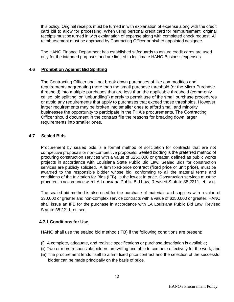<span id="page-12-0"></span>this policy. Original receipts must be turned in with explanation of expense along with the credit card bill to allow for processing. When using personal credit card for reimbursement, original receipts must be turned in with explanation of expense along with completed check request. All reimbursement must be approved by Contracting Officer or his/her appointed designee.

The HANO Finance Department has established safeguards to assure credit cards are used only for the intended purposes and are limited to legitimate HANO Business expenses.

# **4.6 Prohibition Against Bid Splitting**

The Contracting Officer shall not break down purchases of like commodities and requirements aggregating more than the small purchase threshold (or the Micro Purchase threshold) into multiple purchases that are less than the applicable threshold (commonly called 'bid splitting' or "unbundling") merely to permit use of the small purchase procedures or avoid any requirements that apply to purchases that exceed those thresholds. However, larger requirements may be broken into smaller ones to afford small and minority businesses the opportunity to participate in the PHA's procurements. The Contracting Officer should document in the contract file the reasons for breaking down larger requirements into smaller ones.

# **4.7 Sealed Bids**

Procurement by sealed bids is a formal method of solicitation for contracts that are not competitive proposals or non-competitive proposals. Sealed bidding is the preferred method of procuring construction services with a value of \$250,000 or greater, defined as public works projects in accordance with Louisiana State Public Bid Law. Sealed Bids for construction services are publicly solicited. A firm fixed-price contract (fixed price or unit price), must be awarded to the responsible bidder whose bid, conforming to all the material terms and conditions of the Invitation for Bids (IFB), is the lowest in price. Construction services must be procured in accordance with LA Louisiana Public Bid Law, Revised Statute 38:2211, et. seq.

The sealed bid method is also used for the purchase of materials and supplies with a value of \$30,000 or greater and non-complex service contracts with a value of \$250,000 or greater. HANO shall issue an IFB for the purchase in accordance with LA Louisiana Public Bid Law, Revised Statute 38:2211, et. seq.

# **4.7.1 Conditions for Use**

HANO shall use the sealed bid method (IFB) if the following conditions are present:

- (i) A complete, adequate, and realistic specifications or purchase description is available;
- (ii) Two or more responsible bidders are willing and able to compete effectively for the work; and
- (iii) The procurement lends itself to a firm fixed price contract and the selection of the successful bidder can be made principally on the basis of price.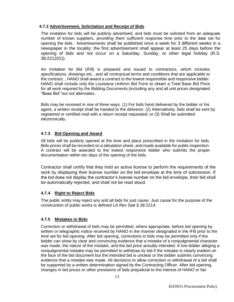# <span id="page-13-0"></span>**4.7.2 Advertisement, Solicitation and Receipt of Bids**

The invitation for bids will be publicly advertised, and bids must be solicited from an adequate number of known suppliers, providing them sufficient response time prior to the date set for opening the bids. Advertisements shall be published once a week for 3 different weeks in a newspaper in the locality; the first advertisement shall appear at least 25 days before the opening of bids and not occur on a Saturday, Sunday, or other legal holiday (R.S. 38:2212(G)).

An Invitation for Bid (IFB) is prepared and issued to contractors, which includes specifications, drawings etc., and all contractual terms and conditions that are applicable to the contract. , HANO shall award a contract to the lowest responsible and responsive bidder. HANO shall include only the Louisiana Uniform Bid Form to obtain a Total Base Bid Price for all work required by the Bidding Documents (including any and all unit prices designated "Base Bid" but not alternates.

Bids may be received in one of three ways. (1) For bids hand delivered by the bidder or his agent, a written receipt shall be handed to the deliverer; (2) Alternatively, bids shall be sent by registered or certified mail with a return receipt requested; or (3) Shall be submitted electronically.

# <span id="page-13-1"></span>**4.7.3 Bid Opening and Award**

All bids will be publicly opened at the time and place prescribed in the invitation for bids. Bids prices shall be recorded on a tabulation sheet, and made available for public inspection. A contract will be awarded to the lowest responsive bidder who submits the proper documentation within ten days of the opening of the bids.

Contractor shall certify that they hold an active license to perform the requirements of the work by displaying their license number on the bid envelope at the time of submission. If the bid does not display the contractor's license number on the bid envelope, their bid shall be automatically rejected, and shall not be read aloud.

#### **4.7.4 Right to Reject Bids**

The public entity may reject any and all bids for just cause. Just cause for the purpose of the construction of public works is defined [LA Rev Stat § 38:2214.](https://law.justia.com/citations.html#LA%20Rev%20Stat%20%C2%A7%2038:2214)

# **4.7.5 Mistakes in Bids**

Correction or withdrawal of bids may be permitted, where appropriate, before bid opening by written or telegraphic notice received by HANO in the manner designated in the IFB prior to the time set for bid opening. After bid opening, corrections in bids may be permitted only if the bidder can show by clear and convincing evidence that a mistake of a nonjudgmental character was made, the nature of the mistake, and the bid price actually intended. A low bidder alleging a nonjudgmental mistake may be permitted to withdraw its bid if the mistake is clearly evident on the face of the bid document but the intended bid is unclear or the bidder submits convincing evidence that a mistake was made. All decisions to allow correction or withdrawal of a bid shall be supported by a written determination signed by the Contracting Officer. After bid opening, changes in bid prices or other provisions of bids prejudicial to the interest of HANO or fair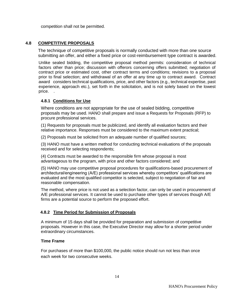competition shall not be permitted.

# <span id="page-14-0"></span>**4.8 COMPETITIVE PROPOSALS**

The technique of competitive proposals is normally conducted with more than one source submitting an offer, and either a fixed price or cost-reimbursement type contract is awarded.

Unlike sealed bidding, the competitive proposal method permits: consideration of technical factors other than price; discussion with offerors concerning offers submitted; negotiation of contract price or estimated cost, other contract terms and conditions; revisions to a proposal prior to final selection; and withdrawal of an offer at any time up to contract award. Contract award considers technical qualifications, price, and other factors (e.g., technical expertise, past experience, approach etc.), set forth in the solicitation, and is not solely based on the lowest price. .

#### <span id="page-14-1"></span>**4.8.1 Conditions for Use**

Where conditions are not appropriate for the use of sealed bidding, competitive proposals may be used. HANO shall prepare and issue a Requests for Proposals (RFP) to procure professional services.

(1) Requests for proposals must be publicized, and identify all evaluation factors and their relative importance. Responses must be considered to the maximum extent practical;

(2) Proposals must be solicited from an adequate number of qualified sources;

(3) HANO must have a written method for conducting technical evaluations of the proposals received and for selecting respondents;

(4) Contracts must be awarded to the responsible firm whose proposal is most advantageous to the program, with price and other factors considered; and

(5) HANO may use competitive proposal procedures for qualifications-based procurement of architectural/engineering (A/E) professional services whereby competitors' qualifications are evaluated and the most qualified competitor is selected, subject to negotiation of fair and reasonable compensation.

The method, where price is not used as a selection factor, can only be used in procurement of A/E professional services. It cannot be used to purchase other types of services though A/E firms are a potential source to perform the proposed effort.

#### **4.8.2 Time Period for Submission of Proposals**

A minimum of 15 days shall be provided for preparation and submission of competitive proposals. However in this case, the Executive Director may allow for a shorter period under extraordinary circumstances.

#### **Time Frame**

For purchases of more than \$100,000, the public notice should run not less than once each week for two consecutive weeks.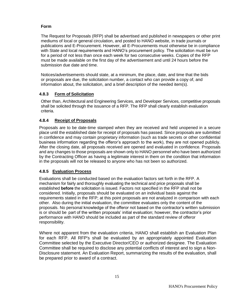# **Form**

The Request for Proposals (RFP) shall be advertised and published in newspapers or other print mediums of local or general circulation, and posted to HANO website, in trade journals or publications and E-Procurement. However, all E-Procurements must otherwise be in compliance with State and local requirements and HANO's procurement policy. The solicitation must be run for a period of not less than once each week for two consecutive weeks. Copies of the RFP must be made available on the first day of the advertisement and until 24 hours before the submission due date and time.

Notices/advertisements should state, at a minimum, the place, date, and time that the bids or proposals are due, the solicitation number, a contact who can provide a copy of, and information about, the solicitation, and a brief description of the needed item(s).

# <span id="page-15-0"></span>**4.8.3 Form of Solicitation**

Other than, Architectural and Engineering Services, and Developer Services, competitive proposals shall be solicited through the issuance of a RFP. The RFP shall clearly establish evaluation criteria.

# **4.8.4 Receipt of Proposals**

Proposals are to be date-time stamped when they are received and held unopened in a secure place until the established date for receipt of proposals has passed. Since proposals are submitted in confidence and may contain proprietary information (such as trade secrets or other confidential business information regarding the offeror's approach to the work), they are not opened publicly. After the closing date, all proposals received are opened and evaluated in confidence. Proposals and any changes to those proposals are shown only to HANO personnel who have been authorized by the Contracting Officer as having a legitimate interest in them on the condition that information in the proposals will not be released to anyone who has not been so authorized.

#### <span id="page-15-1"></span>**4.8.5 Evaluation Process**

Evaluations shall be conducted based on the evaluation factors set forth in the RFP. A mechanism for fairly and thoroughly evaluating the technical and price proposals shall be established **before** the solicitation is issued. Factors not specified in the RFP shall not be considered. Initially, proposals should be evaluated on an individual basis against the requirements stated in the RFP; at this point proposals are not analyzed in comparison with each other. Also during the initial evaluation, the committee evaluates only the content of the proposals. No personal knowledge of the offeror not based on the contractor's written submission is or should be part of the written proposals' initial evaluation; however, the contractor's prior performance with HANO should be included as part of the standard review of offeror responsibility.

<span id="page-15-2"></span>Where not apparent from the evaluation criteria, HANO shall establish an Evaluation Plan for each RFP. All RFP's shall be evaluated by an appropriately appointed Evaluation Committee selected by the Executive Director/CEO or authorized designee. The Evaluation Committee shall be required to disclose any potential conflicts of interest and to sign a Non-Disclosure statement. An Evaluation Report, summarizing the results of the evaluation, shall be prepared prior to award of a contract.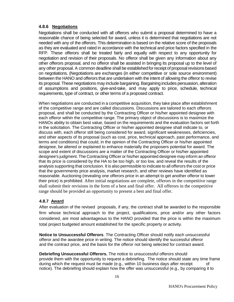# **4.8.6 Negotiations**

Negotiations shall be conducted with all offerors who submit a proposal determined to have a reasonable chance of being selected for award, unless it is determined that negotiations are not needed with any of the offerors. This determination is based on the relative score of the proposals as they are evaluated and rated in accordance with the technical and price factors specified in the RFP. These offerors shall be treated fairly and equally with respect to any opportunity for negotiation and revision of their proposals. No offeror shall be given any information about any other offerors proposal, and no offeror shall be assisted in bringing its proposal up to the level of any other proposal. A common deadline shall be establishedforreceipt of proposalrevisionsbased on negotiations. (Negotiations are exchanges (in either competitive or sole source environment) between the HANO and offerors that are undertaken with the intent of allowing the offeror to revise its proposal. These negotiations may include bargaining. Bargaining includes persuasion, alteration of assumptions and positions, give-and-take, and may apply to price, schedule, technical requirements, type of contract, or other terms of a proposed contract.

When negotiations are conducted in a competitive acquisition, they take place after establishment of the competitive range and are called discussions. Discussions are tailored to each offerors proposal, and shall be conducted by the Contracting Officer or his/her appointed designee with each offeror within the competitive range. The primary object of discussions is to maximize the HANOs ability to obtain best value, based on the requirements and the evaluation factors set forth in the solicitation. The Contracting Officer or his/her appointed designee shall indicate to, or discuss with, each offeror still being considered for award, significant weaknesses, deficiencies, and other aspects of its proposal (such as cost, price, technical approach, past performance, and terms and conditions) that could, in the opinion of the Contracting Officer or his/her appointed designee, be altered or explained to enhance materially the proposers potential for award. The scope and extent of discussions are a matter of the Contracting Officer or his/her appointed designee's judgment. The Contracting Officer or his/her appointed designee may inform an offeror that its price is considered by the HA to be too high, or too low, and reveal the results of the analysis supporting that conclusion. It is also permissible to indicate to all offerors the cost or price that the governments price analysis, market research, and other reviews have identified as reasonable. Auctioning (revealing one offerors price in an attempt to get another offeror to lower their price) is prohibited. After initial negotiations are complete, offerors in the competitive range shall submit their revisions in the form of a best and final offer. All offerors in the competitive range should be provided an opportunity to present a best and final offer.

# <span id="page-16-0"></span>**4.8.7 Award**

After evaluation of the revised proposals, if any, the contract shall be awarded to the responsible firm whose technical approach to the project, qualifications, price and/or any other factors considered, are most advantageous to the HANO provided that the price is within the maximum total project budgeted amount established for the specific property or activity.

**Notice to Unsuccessful Offerors**. The Contracting Officer should notify each unsuccessful offeror and the awardee price in writing. The notice should identify the successful offeror and the contract price, and the basis for the offeror not being selected for contract award.

**Debriefing Unsuccessful Offerors.** The notice to unsuccessful offerors should provide them with the opportunity to request a debriefing. The notice should state any time frame during which the request must be made (e.g., within 10 business days after receipt notice). The debriefing should explain how the offer was unsuccessful (e.g., by comparing it to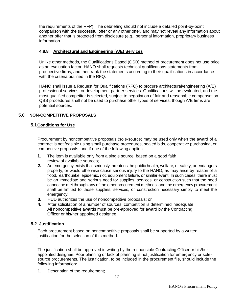the requirements of the RFP). The debriefing should not include a detailed point-by-point comparison with the successful offer or any other offer, and may not reveal any information about another offer that is protected from disclosure (e.g., personal information, proprietary business information.

#### <span id="page-17-0"></span>**4.8.8 Architectural and Engineering (A/E) Services**

Unlike other methods, the Qualifications Based (QSB) method of procurement does not use price as an evaluation factor. HANO shall requests technical qualifications statements from prospective firms, and then rank the statements according to their qualifications in accordance with the criteria outlined in the RFQ.

HANO shall issue a Request for Qualifications (RFQ) to procure architectural/engineering (A/E) professional services, or development partner services. Qualifications will be evaluated, and the most qualified competitor is selected, subject to negotiation of fair and reasonable compensation. QBS procedures shall not be used to purchase other types of services, though A/E firms are potential sources.

# <span id="page-17-2"></span><span id="page-17-1"></span>**5.0 NON-COMPETITIVE PROPOSALS**

# **5.1Conditions for Use**

Procurement by noncompetitive proposals (sole-source) may be used only when the award of a contract is not feasible using small purchase procedures, sealed bids, cooperative purchasing, or competitive proposals, and if one of the following applies:

- **1.** The item is available only from a single source, based on a good faith review of available sources;
- **2.** An emergency exists that seriously threatens the public health, welfare, or safety, or endangers property, or would otherwise cause serious injury to the HANO, as may arise by reason of a flood, earthquake, epidemic, riot, equipment failure, or similar event. In such cases, there must be an immediate and serious need for supplies, services, or construction such that the need cannot be met through any of the other procurement methods, and the emergency procurement shall be limited to those supplies, services, or construction necessary simply to meet the emergency;
- **3.** HUD authorizes the use of noncompetitive proposals; or
- **4.** After solicitation of a number of sources, competition is determined inadequate. All noncompetitive awards must be pre-approved for award by the Contracting Officer or his/her appointed designee.

#### **5.2 Justification**

.

Each procurement based on noncompetitive proposals shall be supported by a written justification for the selection of this method.

The justification shall be approved in writing by the responsible Contracting Officer or his/her appointed designee. Poor planning or lack of planning is not justification for emergency or solesource procurements. The justification, to be included in the procurement file, should include the following information:

**1.** Description of the requirement;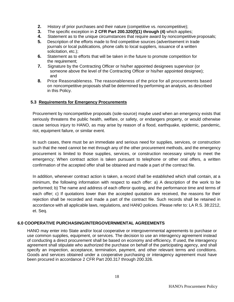- **2.** History of prior purchases and their nature (competitive vs. noncompetitive);
- **3.** The specific exception in **2 CFR Part 200.320(f)(1) through (4)** which applies;
- **4.** Statement as to the unique circumstances that require award by noncompetitive proposals;
- **5.** Description of the efforts made to find competitive sources (advertisement in trade journals or local publications, phone calls to local suppliers, issuance of a written solicitation, etc.);
- **6.** Statement as to efforts that will be taken in the future to promote competition for the requirement;
- **7.** Signature by the Contracting Officer or his/her appointed designees supervisor (or someone above the level of the Contracting Officer or his/her appointed designee); and
- **8.** Price Reasonableness. The reasonableness of the price for all procurements based on noncompetitive proposals shall be determined by performing an analysis, as described in this Policy.

#### **5.3 Requirements for Emergency Procurements**

Procurement by noncompetitive proposals (sole-source) maybe used when an emergency exists that seriously threatens the public health, welfare, or safety, or endangers property, or would otherwise cause serious injury to HANO, as may arise by reason of a flood, earthquake, epidemic, pandemic, riot, equipment failure, or similar event.

In such cases, there must be an immediate and serious need for supplies, services, or construction such that the need cannot be met through any of the other procurement methods, and the emergency procurement is limited to those supplies, services, or construction necessary simply to meet the emergency; When contract action is taken pursuant to telephone or other oral offers, a written confirmation of the accepted offer shall be obtained and made a part of the contract file.

In addition, whenever contract action is taken, a record shall be established which shall contain, at a minimum, the following information with respect to each offer: a) A description of the work to be performed; b) The name and address of each offeror quoting, and the performance time and terms of each offer; c) If quotations lower than the accepted quotation are received, the reasons for their rejection shall be recorded and made a part of the contract file. Such records shall be retained in accordance with all applicable laws, regulations, and HANO policies. Please refer to: LA R.S. 38:2212, et. Seq.

#### **6.0 COOPERATIVE PURCHASING/INTERGOVERNMENTAL AGREEMENTS**

HANO may enter into State and/or local cooperative or intergovernmental agreements to purchase or use common supplies, equipment, or services. The decision to use an interagency agreement instead of conducting a direct procurement shall be based on economy and efficiency. If used, the interagency agreement shall stipulate who authorized the purchase on behalf of the participating agency, and shall specify an inspection, acceptance, termination, payment, and other relevant terms and conditions. Goods and services obtained under a cooperative purchasing or interagency agreement must have been procured in accordance 2 CFR Part 200.317 through 200.326.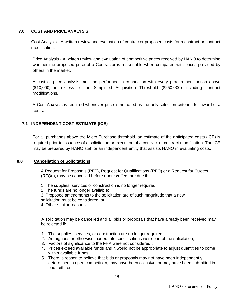# <span id="page-19-0"></span>**7.0 COST AND PRICE ANALYSIS**

Cost Analysis - A written review and evaluation of contractor proposed costs for a contract or contract modification.

Price Analysis - A written review and evaluation of competitive prices received by HANO to determine whether the proposed price of a Contractor is reasonable when compared with prices provided by others in the market.

A cost or price analysis must be performed in connection with every procurement action above (\$10,000) in excess of the Simplified Acquisition Threshold (\$250,000) including contract modifications.

A Cost An**a**lysis is required whenever price is not used as the only selection criterion for award of a contract.

# **7.1 INDEPENDENT COST ESTIMATE (ICE)**

For all purchases above the Micro Purchase threshold, an estimate of the anticipated costs (ICE) is required prior to issuance of a solicitation or execution of a contract or contract modification. The ICE may be prepared by HANO staff or an independent entity that assists HANO in evaluating costs.

#### <span id="page-19-1"></span>**8.0 Cancellation of Solicitations**

A Request for Proposals (RFP), Request for Qualifications (RFQ) or a Request for Quotes (RFQu), may be cancelled before quotes/offers are due if:

- 1. The supplies, services or construction is no longer required;
- 2. The funds are no longer available;
- 3. Proposed amendments to the solicitation are of such magnitude that a new solicitation must be considered; or
- 4. Other similar reasons.

 A solicitation may be cancelled and all bids or proposals that have already been received may be rejected if:

- 1. The supplies, services, or construction are no longer required;
- 2. Ambiguous or otherwise inadequate specifications were part of the solicitation;
- 3. Factors of significance to the FHA were not considered.;
- 4. Prices exceed available funds and it would not be appropriate to adjust quantities to come within available funds;
- 5. There is reason to believe that bids or proposals may not have been independently determined in open competition, may have been collusive, or may have been submitted in bad faith; or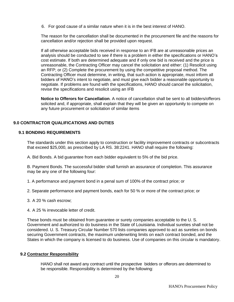6. For good cause of a similar nature when it is in the best interest of HANO.

The reason for the cancellation shall be documented in the procurement file and the reasons for cancellation and/or rejection shall be provided upon request.

If all otherwise acceptable bids received in response to an IFB are at unreasonable prices an analysis should be conducted to see if there is a problem in either the specifications or HANO's cost estimate. If both are determined adequate and if only one bid is received and the price is unreasonable, the Contracting Officer may cancel the solicitation and either: (1) Resolicit using an RFP; or (2) Complete the procurement by using the competitive proposal method. The Contracting Officer must determine, in writing, that such action is appropriate, must inform all bidders of HANO's intent to negotiate, and must give each bidder a reasonable opportunity to negotiate. If problems are found with the specifications, HANO should cancel the solicitation, revise the specifications and resolicit using an IFB

**Notice to Offerors for Cancellation**. A notice of cancellation shall be sent to all bidders/offerors solicited and, if appropriate, shall explain that they will be given an opportunity to compete on any future procurement or solicitation of similar items

# **9.0 CONTRACTOR QUALIFICATIONS AND DUTIES**

#### **9.1 BONDING REQUIREMENTS**

The standards under this section apply to construction or facility improvement contracts or subcontracts that exceed \$25,000, as prescribed by LA RS. 38:2241. HANO shall require the following:

A. Bid Bonds. A bid guarantee from each bidder equivalent to 5% of the bid price.

B. Payment Bonds. The successful bidder shall furnish an assurance of completion. This assurance may be any one of the following four:

1. A performance and payment bond in a penal sum of 100% of the contract price; or

2. Separate performance and payment bonds, each for 50 % or more of the contract price; or

- 3. A 20 % cash escrow;
- 4. A 25 % irrevocable letter of credit.

These bonds must be obtained from guarantee or surety companies acceptable to the U. S. Government and authorized to do business in the State of Louisiana. Individual sureties shall not be considered. U. S. Treasury Circular Number 570 lists companies approved to act as sureties on bonds securing Government contracts, the maximum underwriting limits on each contract bonded, and the States in which the company is licensed to do business. Use of companies on this circular is mandatory.

#### **9.2 Contractor Responsibility**

HANO shall not award any contract until the prospective bidders or offerors are determined to be responsible. Responsibility is determined by the following: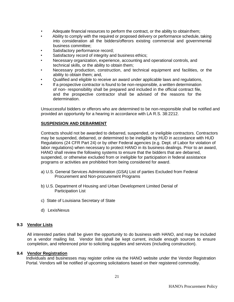- Adequate financial resources to perform the contract, or the ability to obtain them;
- Ability to comply with the required or proposed delivery or performance schedule, taking into consideration all the bidders/offerors existing commercial and governmental business committee;
- Satisfactory performance record;
- Satisfactory record of integrity and business ethics;
- Necessary organization, experience, accounting and operational controls, and technical skills, or the ability to obtain them;
- Necessary production, construction, and technical equipment and facilities, or the ability to obtain them; and,
- Qualified and eligible to receive an award under applicable laws and regulations,
- If a prospective contractor is found to be non-responsible, a written determination of non- responsibility shall be prepared and included in the official contract file, and the prospective contractor shall be advised of the reasons for the determination.

Unsuccessful bidders or offerors who are determined to be non-responsible shall be notified and provided an opportunity for a hearing in accordance with LA R.S. 38:2212.

#### **SUSPENSION AND DEBARMENT**

Contracts should not be awarded to debarred, suspended, or ineligible contractors. Contractors may be suspended, debarred, or determined to be ineligible by HUD in accordance with HUD Regulations (24 CFR Part 24) or by other Federal agencies (e.g. Dept. of Labor for violation of labor regulations) when necessary to protect HANO in its business dealings. Prior to an award, HANO shall review the following systems to ensure that the bidders that are debarred, suspended, or otherwise excluded from or ineligible for participation in federal assistance programs or activities are prohibited from being considered for award.

- a) U.S. General Services Administration (GSA) List of parties Excluded from Federal Procurement and Non-procurement Programs
- b) U.S. Department of Housing and Urban Development Limited Denial of Participation List
- c) State of Louisiana Secretary of State
- d) LexisNexus

#### **9.3 Vendor Lists**

All interested parties shall be given the opportunity to do business with HANO, and may be included on a vendor mailing list. Vendor lists shall be kept current, include enough sources to ensure completion, and referenced prior to soliciting supplies and services (including construction).

#### **9.4 Vendor Registration**

Individuals and businesses may register online via the HANO website under the Vendor Registration Portal. Vendors will be notified of upcoming solicitations based on their registered commodity.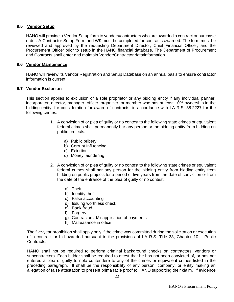#### **9.5 Vendor Setup**

HANO will provide a Vendor Setup form to vendors/contractors who are awarded a contract or purchase order. A Contractor Setup Form and W9 must be completed for contracts awarded. The form must be reviewed and approved by the requesting Department Director, Chief Financial Officer, and the Procurement Officer prior to setup in the HANO financial database. The Department of Procurement and Contracts shall enter and maintain Vendor/Contractor data/information.

#### **9.6 Vendor Maintenance**

HANO will review its Vendor Registration and Setup Database on an annual basis to ensure contractor information is current.

#### **9.7 Vendor Exclusion**

This section applies to exclusion of a sole proprietor or any bidding entity if any individual partner, incorporator, director, manager, officer, organizer, or member who has at least 10% ownership in the bidding entity, for consideration for award of contracts, in accordance with LA R.S. 38:2227 for the following crimes:

- 1. A conviction of or plea of guilty or no contest to the following state crimes or equivalent federal crimes shall permanently bar any person or the bidding entity from bidding on public projects.
	- a) Public bribery
	- b) Corrupt Influencing
	- c) Extortion
	- d) Money laundering
- 2. A conviction of or plea of guilty or no contest to the following state crimes or equivalent federal crimes shall bar any person for the bidding entity from bidding entity from bidding on public projects for a period of five years from the date of conviction or from the date of the entrance of the plea of guilty or no contest.
	- a) Theft
	- b) Identity theft
	- c) False accounting
	- d) Issuing worthless check
	- e) Bank fraud
	- f) Forgery
	- g) Contractors: Misapplication of payments
	- h) Malfeasance in office

The five-year prohibition shall apply only if the crime was committed during the solicitation or execution of a contract or bid awarded pursuant to the provisions of LA R.S. Title 38, Chapter 10 – Public Contracts.

HANO shall not be required to perform criminal background checks on contractors, vendors or subcontractors. Each bidder shall be required to attest that he has not been convicted of, or has not entered a plea of guilty to nolo contendere to any of the crimes or equivalent crimes listed in the preceding paragraph. It shall be the responsibility of any person, company, or entity making an allegation of false attestation to present prima facie proof to HANO supporting their claim. If evidence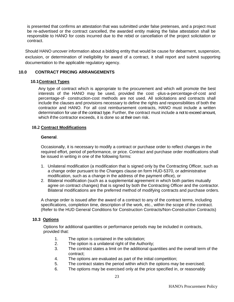is presented that confirms an attestation that was submitted under false pretenses, and a project must be re-advertised or the contract cancelled, the awarded entity making the false attestation shall be responsible to HANO for costs incurred due to the rebid or cancellation of the project solicitation or contract.

Should HANO uncover information about a bidding entity that would be cause for debarment, suspension, exclusion, or determination of ineligibility for award of a contract, it shall report and submit supporting documentation to the applicable regulatory agency.

#### <span id="page-23-1"></span><span id="page-23-0"></span>**10.0 CONTRACT PRICING ARRANGEMENTS**

#### **10.1Contract Types**

Any type of contract which is appropriate to the procurement and which will promote the best interests of the HANO may be used, provided the cost -plus-a-percentage-of-cost and percentage-of- construction-cost methods are not used. All solicitations and contracts shall include the clauses and provisions necessary to define the rights and responsibilities of both the contractor and HANO. For all cost reimbursement contracts, HANO must include a written determination for use of the contract type. Further, the contract must include a not to exceed amount, which if the contractor exceeds, it is done so at their own risk.

#### **10.2 Contract Modifications**

#### **General**.

Occasionally, it is necessary to modify a contract or purchase order to reflect changes in the required effort, period of performance, or price. Contract and purchase order modifications shall be issued in writing in one of the following forms:

- 1. Unilateral modification (a modification that is signed only by the Contracting Officer, such as a change order pursuant to the Changes clause on form HUD-5370, or administrative modification, such as a change in the address of the payment office), or
- 2. Bilateral modification (such as a supplemental agreement in which both parties mutually agree on contract changes) that is signed by both the Contracting Officer and the contractor. Bilateral modifications are the preferred method of modifying contracts and purchase orders.

A change order is issued after the award of a contract to any of the contract terms, including specifications, completion time, description of the work, etc., within the scope of the contract. (Refer to the HUD General Conditions for Construction Contracts/Non-Construction Contracts)

#### <span id="page-23-2"></span>**10.3 Options**

Options for additional quantities or performance periods may be included in contracts, provided that:

- 1. The option is contained in the solicitation;
- 2. The option is a unilateral right of the Authority;
- 3. The contract states a limit on the additional quantities and the overall term of the contract;
- 4. The options are evaluated as part of the initial competition;
- 5. The contract states the period within which the options may be exercised;
- 6. The options may be exercised only at the price specified in, or reasonably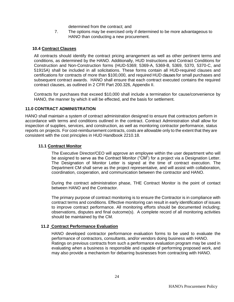determined from the contract; and

7. The options may be exercised only if determined to be more advantageous to HANO than conducting a new procurement.

#### <span id="page-24-0"></span>**10.4 Contract Clauses**

All contracts should identify the contract pricing arrangement as well as other pertinent terms and conditions, as determined by the HANO. Additionally, HUD Instructions and Contract Conditions for Construction and Non-Construction forms (HUD-5369; 5369-A, 5369-B, 5369, 5370, 5370-C, and 51915A) shall be included in all solicitations. These forms contain all HUD-required clauses and certifications for contracts of more than \$100,000, and required HUD clauses for small purchases and subsequent contract awards. HANO shall ensure that each contract executed contains the required contract clauses, as outlined in 2 CFR Part 200.326, Appendix II.

Contracts for purchases that exceed \$10,000 shall include a termination for cause/convenience by HANO, the manner by which it will be effected, and the basis for settlement.

#### **11.0 CONTRACT ADMINISTRATION**

HANO shall maintain a system of contract administration designed to ensure that contractors perform in accordance with terms and conditions outlined in the contract. Contract Administration shall allow for inspection of supplies, services, and construction, as well as monitoring contractor performance, status reports on projects. For cost-reimbursement contracts, costs are allowable only to the extent that they are consistent with the cost principles in HUD Handbook 2210.18.

#### **11.1 Contract Monitor**

The Executive Director/CEO will approve an employee within the user department who will be assigned to serve as the Contract Monitor ("CM") for a project via a Designation Letter. The Designation of Monitor Letter is signed at the time of contract execution. The Department CM shall serve as the project representative, and will assist with collaboration, coordination, cooperation, and communication between the contractor and HANO.

During the contract administration phase, THE Contract Monitor is the point of contact between HANO and the Contractor.

The primary purpose of contract monitoring is to ensure the Contractor is in compliance with contract terms and conditions. Effective monitoring can result in early identification of issues to improve contract performance. All monitoring efforts should be documented including; observations, disputes and final outcome(s). A complete record of all monitoring activities should be maintained by the CM.

#### **11.2 Contract Performance Evaluation**

HANO developed contractor performance evaluation forms to be used to evaluate the performance of contractors, consultants, and/or vendors doing business with HANO. Ratings on previous contracts from such a performance evaluation program may be used in evaluating when a business is responsible and capable of performing proposed work, and may also provide a mechanism for debarring businesses from contracting with HANO.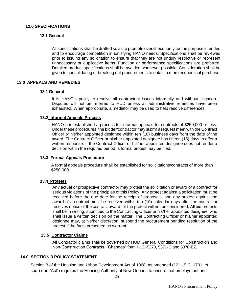# <span id="page-25-1"></span><span id="page-25-0"></span>**12.0 SPECIFICATIONS**

#### **12.1 General**

All specifications shall be drafted so as to promote overall economy for the purpose intended and to encourage competition in satisfying HANO needs. Specifications shall be reviewed prior to issuing any solicitation to ensure that they are not unduly restrictive or represent unnecessary or duplicative items. Function or performance specifications are preferred. Detailed product specifications shall be avoided whenever possible. Consideration shall be given to consolidating or breaking out procurements to obtain a more economical purchase.

#### <span id="page-25-3"></span><span id="page-25-2"></span>**13.0 APPEALS AND REMEDIES**

#### **13.1 General**

It is HANO's policy to resolve all contractual issues informally and without litigation. Disputes will not be referred to HUD unless all administrative remedies have been exhausted. When appropriate, a mediator may be used to help resolve differences.

#### <span id="page-25-4"></span>**13.2 Informal Appeals Process**

HANO has established a process for informal appeals for contracts of \$250,000 or less. Under these procedures, the bidder/contractor may submit a request meet with the Contract Officer or his/her appointed designee within ten (10) business days from the date of the award. The Contract Officer or his/her appointed designee has fifteen (15) days to offer a written response. If the Contract Officer or his/her appointed designee does not render a decision within the required period, a formal protest may be filed.

#### **13.3 Formal Appeals Procedure**

A formal appeals procedure shall be established for solicitations/contracts of more than \$250,000.

#### **13.4 Protests**

Any actual or prospective contractor may protest the solicitation or award of a contract for serious violations of the principles of this Policy. Any protest against a solicitation must be received before the due date for the receipt of proposals, and any protest against the award of a contract must be received within ten (10) calendar days after the contractor receives notice of the contract award, or the protest will not be considered. All bid protests shall be in writing, submitted to the Contracting Officer or his/her appointed designee, who shall issue a written decision on the matter. The Contracting Officer or his/her appointed designee may, at his/her discretion, suspend the procurement pending resolution of the protest if the facts presented so warrant.

#### **13.5 Contractor Claims**

All Contractor claims shall be governed by HUD General Conditions for Construction and Non-Construction Contracts, "Changes" form HUD-5370, 5370-C and 5370-EZ.

#### <span id="page-25-5"></span>**14.0 SECTION 3 POLICY STATEMENT**

Section 3 of the Housing and Urban Development Act of 1968, as amended (12 U.S.C. 1701, et seq.) (the "Act") requires the Housing Authority of New Orleans to ensure that employment and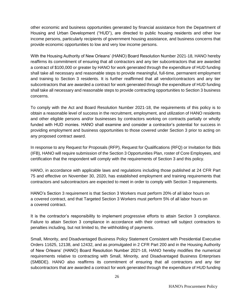other economic and business opportunities generated by financial assistance from the Department of Housing and Urban Development ("HUD"), are directed to public housing residents and other low income persons, particularly recipients of government housing assistance, and business concerns that provide economic opportunities to low and very low income persons.

With the Housing Authority of New Orleans' (HANO) Board Resolution Number 2021-18, HANO hereby reaffirms its commitment of ensuring that all contractors and any tier subcontractors that are awarded a contract of \$100,000 or greater by HANO for work generated through the expenditure of HUD funding shall take all necessary and reasonable steps to provide meaningful, full-time, permanent employment and training to Section 3 residents. It is further reaffirmed that all vendor/contractors and any tier subcontractors that are awarded a contract for work generated through the expenditure of HUD funding shall take all necessary and reasonable steps to provide contracting opportunities to Section 3 business concerns.

To comply with the Act and Board Resolution Number 2021-18, the requirements of this policy is to obtain a reasonable level of success in the recruitment, employment, and utilization of HANO residents and other eligible persons and/or businesses by contractors working on contracts partially or wholly funded with HUD monies. HANO shall examine and consider a contractor's potential for success in providing employment and business opportunities to those covered under Section 3 prior to acting on any proposed contract award.

In response to any Request for Proposals (RFP), Request for Qualifications (RFQ) or Invitation for Bids (IFB), HANO will require submission of the Section 3 Opportunities Plan, roster of Core Employees, and certification that the respondent will comply with the requirements of Section 3 and this policy.

HANO, in accordance with applicable laws and regulations including those published at 24 CFR Part 75 and effective on November 30, 2020, has established employment and training requirements that contractors and subcontractors are expected to meet in order to comply with Section 3 requirements.

HANO's Section 3 requirement is that Section 3 Workers must perform 20% of all labor hours on a covered contract, and that Targeted Section 3 Workers must perform 5% of all labor hours on a covered contract.

It is the contractor's responsibility to implement progressive efforts to attain Section 3 compliance. Failure to attain Section 3 compliance in accordance with their contract will subject contractors to penalties including, but not limited to, the withholding of payments.

Small, Minority, and Disadvantaged Business Policy Statement Consistent with Presidential Executive Orders 11625, 12138, and 12432, and as promulgated in 2 CFR Part 200 and in the Housing Authority of New Orleans' (HANO) Board Resolution Number 2021-18, HANO hereby modifies the numerical requirements relative to contracting with Small, Minority, and Disadvantaged Business Enterprises (SMBDE). HANO also reaffirms its commitment of ensuring that all contractors and any tier subcontractors that are awarded a contract for work generated through the expenditure of HUD funding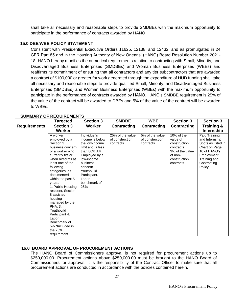shall take all necessary and reasonable steps to provide SMDBEs with the maximum opportunity to participate in the performance of contracts awarded by HANO.

#### **15.0 DBE/WBE POLICY STATEMENT**

Consistent with Presidential Executive Orders 11625, 12138, and 12432, and as promulgated in 24 CFR Part 85 and in the Housing Authority of New Orleans' (HANO) Board Resolution Number 2021- 18, HANO hereby modifies the numerical requirements relative to contracting with Small, Minority, and Disadvantaged Business Enterprises (SMDBEs) and Woman Business Enterprises (WBEs) and reaffirms its commitment of ensuring that all contractors and any tier subcontractors that are awarded a contract of \$100,000 or greater for work generated through the expenditure of HUD funding shall take all necessary and reasonable steps to provide qualified Small, Minority, and Disadvantaged Business Enterprises (SMDBEs) and Woman Business Enterprises (WBEs) with the maximum opportunity to participate in the performance of contracts awarded by HANO. HANO's SMDBE requirement is 25% of the value of the contract will be awarded to DBEs and 5% of the value of the contract will be awarded to WBEs.

|                     | <b>Targeted</b>                                                                                                                                                                                                                                                                                                                                                                                                                 | <b>Section 3</b>                                                                                                                                                                                              | <b>SMDBE</b>                                     | <b>WBE</b>                                      | <b>Section 3</b>                                                                                               | <b>Section 3</b>                                                                                                                               |
|---------------------|---------------------------------------------------------------------------------------------------------------------------------------------------------------------------------------------------------------------------------------------------------------------------------------------------------------------------------------------------------------------------------------------------------------------------------|---------------------------------------------------------------------------------------------------------------------------------------------------------------------------------------------------------------|--------------------------------------------------|-------------------------------------------------|----------------------------------------------------------------------------------------------------------------|------------------------------------------------------------------------------------------------------------------------------------------------|
| <b>Requirements</b> | <b>Section 3</b>                                                                                                                                                                                                                                                                                                                                                                                                                | <b>Worker</b>                                                                                                                                                                                                 | <b>Contracting</b>                               | <b>Contracting</b>                              | <b>Contracting</b>                                                                                             | <b>Training &amp;</b>                                                                                                                          |
|                     | Worker                                                                                                                                                                                                                                                                                                                                                                                                                          |                                                                                                                                                                                                               |                                                  |                                                 |                                                                                                                | <b>Internship</b>                                                                                                                              |
|                     | A worker<br>employed by a<br>Section 3<br>business concern<br>or a worker who<br>currently fits or<br>when hired fits at<br>least one of the<br>following<br>categories, as<br>documented<br>within the past 5<br>years:<br>1. Public Housing<br>resident, Section<br>8 assisted<br>housing<br>managed by the<br>PHA. 3.<br>Youthbuild<br>Participant 4.<br>Labor<br>Benchmark of<br>5% *Included in<br>the 25%<br>requirement. | Individual's<br>income is below<br>the low-income<br>limit and is less<br>than 80% AMI.<br>Employed by a<br>low-income<br>business<br>concern.<br>Youthbuild<br>Participant.<br>Labor<br>benchmark of<br>25%. | 25% of the value<br>of construction<br>contracts | 5% of the value<br>of construction<br>contracts | 10% of the<br>value of<br>construction<br>contracts<br>3% of the value<br>of non-<br>construction<br>contracts | Paid Training<br>and Internship<br>Spots as listed in<br>Chart on Page<br>16 of HANO's<br>Employment,<br>Training and<br>Contracting<br>Policy |

# **SUMMARY OF REQUIREMENTS**

#### **16.0 BOARD APPROVAL OF PROCUREMENT ACTIONS**

The HANO Board of Commissioners approval is not required for procurement actions up to \$250,000.00. Procurement actions above \$250,000.00 must be brought to the HANO Board of Commissioners for approval. It is the responsibility of the Contract Officer to make sure that all procurement actions are conducted in accordance with the policies contained herein.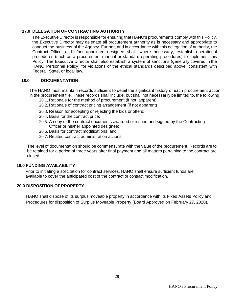#### <span id="page-28-0"></span>**17.0 DELEGATION OF CONTRACTING AUTHORITY**

The Executive Director is responsible for ensuring that HANO's procurements comply with this Policy, the Executive Director may delegate all procurement authority as is necessary and appropriate to conduct the business of the Agency. Further, and in accordance with this delegation of authority, the Contract Officer or his/her appointed designee shall, where necessary, establish operational procedures (such as a procurement manual or standard operating procedures) to implement this Policy. The Executive Director shall also establish a system of sanctions (generally covered in the HANO Personnel Policy) for violations of the ethical standards described above, consistent with Federal, State, or local law.

#### **18.0 DOCUMENTATION**

The HANO must maintain records sufficient to detail the significant history of each procurement action in the procurement file. These records shall include, but shall not necessarily be limited to, the following:

- 20.1. Rationale for the method of procurement (if not apparent);
- 20.2. Rationale of contract pricing arrangement (if not apparent)
- 20.3. Reason for accepting or rejecting the bids or offers;
- 20.4. Basis for the contract price;
- 20.5. A copy of the contract documents awarded or issued and signed by the Contracting Officer or his/her appointed designee;
- 20.6. Basis for contract modifications; and
- 20.7. Related contract administration actions.

The level of documentation should be commensurate with the value of the procurement. Records are to be retained for a period of three years after final payment and all matters pertaining to the contract are closed.

#### **19.0 FUNDING AVAILABILITY**

Prior to initiating a solicitation for contract services, HANO shall ensure sufficient funds are available to cover the anticipated cost of the contract or contract modification.

#### <span id="page-28-1"></span>**20.0 DISPOSITION OF PROPERTY**

HANO shall dispose of its surplus moveable property in accordance with its Fixed Assets Policy and Procedures for disposition of Surplus Moveable Property (Board Approved on February 27, 2020).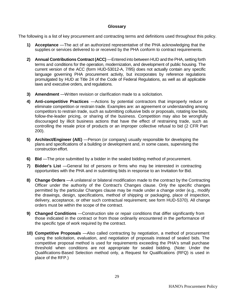#### **Glossary**

The following is a list of key procurement and contracting terms and definitions used throughout this policy.

- **1) Acceptance** —The act of an authorized representative of the PHA acknowledging that the supplies or services delivered to or received by the PHA conform to contract requirements.
- **2) Annual Contributions Contract (ACC)** —Entered into between HUD and the PHA, setting forth terms and conditions for the operation, modernization, and development of public housing. The current version of the ACC (form HUD-53012-A, 7/95) does not actually contain any specific language governing PHA procurement activity, but incorporates by reference regulations promulgated by HUD at Title 24 of the Code of Federal Regulations, as well as all applicable laws and executive orders, and regulations.
- **3) Amendment** —Written revision or clarification made to a solicitation.
- **4) Anti-competitive Practices** —Actions by potential contractors that improperly reduce or eliminate competition or restrain trade. Examples are: an agreement or understanding among competitors to restrain trade, such as submitting collusive bids or proposals, rotating low bids, follow-the-leader pricing, or sharing of the business. Competition may also be wrongfully discouraged by illicit business actions that have the effect of restraining trade, such as controlling the resale price of products or an improper collective refusal to bid (2 CFR Part 200).
- **5) Architect/Engineer (A/E)** —Person (or company) usually responsible for developing the plans and specifications of a building or development and, in some cases, supervising the construction effort.
- **6) Bid** —The price submitted by a bidder in the sealed bidding method of procurement.
- **7) Bidder's List** —General list of persons or firms who may be interested in contracting opportunities with the PHA and in submitting bids in response to an Invitation for Bid.
- **8) Change Orders** —A unilateral or bilateral modification made to the contract by the Contracting Officer under the authority of the Contract's Changes clause. Only the specific changes permitted by the particular Changes clause may be made under a change order (e.g., modify the drawings, design, specifications, method of shipping or packaging, place of inspection, delivery, acceptance, or other such contractual requirement; see form HUD-5370). All change orders must be within the scope of the contract.
- **9) Changed Conditions** —Construction site or repair conditions that differ significantly from those indicated in the contract or from those ordinarily encountered in the performance of the specific type of work required by the contract.
- **10) Competitive Proposals** —Also called contracting by negotiation, a method of procurement using the solicitation, evaluation, and negotiation of proposals instead of sealed bids. The competitive proposal method is used for requirements exceeding the PHA's small purchase threshold when conditions are not appropriate for sealed bidding. (Note: Under the Qualifications-Based Selection method only, a Request for Qualifications (RFQ) is used in place of the RFP.)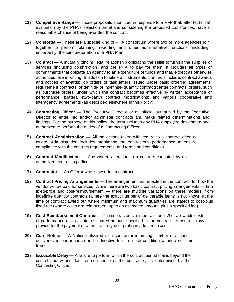- **11) Competitive Range —** Those proposals submitted in response to a RFP that, after technical evaluation by the PHA's selection panel and considering the proposed costs/prices. have a reasonable chance of being awarded the contract
- **12) Consortia —** These are a special kind of PHA consortium where two or more agencies join together to perform planning, reporting and other administrative functions, including, importantly, the joint preparation of a PHA Plan.
- **13) Contract —** A mutually binding legal relationship obligating the seller to furnish the supplies or services (including construction) and the PHA to pay for them. It includes all types of commitments that obligate an agency to an expenditure of funds and that, except as otherwise authorized, are in writing. In addition to bilateral instruments, contracts include: contract awards and notices of awards; job orders or task letters issued under basic ordering agreements, requirement contracts, or definite- or indefinite- quantity contracts; letter contracts; orders, such as purchase orders, under which the contract becomes effective by written acceptance or performance; bilateral (two-party) contract modifications; and various cooperative and interagency agreements (as described elsewhere in this Policy).
- **14) Contracting Officer —** The Executive Director or an official authorized by the Executive Director to enter into and/or administer contracts and make related determinations and findings. For the purpose of this policy, the term includes any PHA employee designated and authorized to perform the duties of a Contracting Officer.
- **15) Contract Administration —** All the actions taken with regard to a contract after its award. Administration includes monitoring the contractor's performance to ensure compliance with the contract requirements, and terms and conditions.
- **16) Contract Modification —** Any written alteration to a contract executed by an authorized contracting officer.
- **17) Contractor —** An Offeror who is awarded a contract.
- **18) Contract Pricing Arrangements —** The arrangement, as reflected in the contract, for how the vendor will be paid for services. While there are two basic contract pricing arrangements — firm fixed-price and cost-reimbursement — there are multiple variations on these models, from indefinite quantity contracts (where the exact number of deliverable items is not known at the time of contract award but where minimum and maximum quantities are stated) to cost-plus fixed-fee (where costs are reimbursed, up to an estimated amount, plus a specified fee).
- **19) Cost-Reimbursement Contract —** The contractor is reimbursed for his/her allowable costs of performance up to a total estimated amount specified in the contract he contract may provide for the payment of a fee (i.e., a type of profit) in addition to costs.
- **20) Cure Notice —** A Notice delivered to a contractor informing him/her of a specific deficiency in performance and a directive to cure such condition within a set time frame.
- **21) Excusable Delay —** A failure to perform within the contract period that is beyond the control and without fault or negligence of the contractor, as determined by the ContractingOfficer.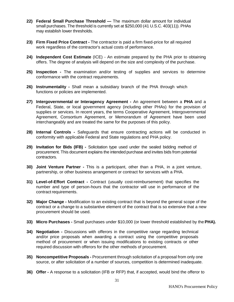- **22) Federal Small Purchase Threshold —** The maximum dollar amount for individual small purchases. The threshold is currently set at \$250,000 (41 U.S.C. 403(11)). PHAs may establish lower thresholds.
- **23) Firm Fixed Price Contract -** The contractor is paid a firm fixed-price for all required work regardless of the contractor's actual costs of performance.
- **24) Independent Cost Estimate** (ICE) An estimate prepared by the PHA prior to obtaining offers. The degree of analysis will depend on the size and complexity of the purchase.
- **25) Inspection -** The examination and/or testing of supplies and services to determine conformance with the contract requirements.
- **26) Instrumentality -** Shall mean a subsidiary branch of the PHA through which functions or policies are implemented.
- **27) Intergovernmental or Interagency Agreement -** An agreement between a **PHA** and a Federal, State, or local government agency (including other PHAs) for the provision of supplies or services. In recent years, the terms Cooperative Agreement, Intergovernmental Agreement, Consortium Agreement, or Memorandum of Agreement have been used interchangeably and are treated the same for the purposes of this policy.
- **28) Internal Controls -** Safeguards that ensure contracting actions will be conducted in conformity with applicable Federal and State regulations and PHA policy.
- **29) Invitation for Bids (IFB) -** Solicitation type used under the sealed bidding method of procurement. This document explains the intended purchase and invites bids from potential contractors.
- **30) Joint Venture Partner -** This is a participant, other than a PHA, in a joint venture, partnership, or other business arrangement or contract for services with a PHA.
- **31) Level-of-Effort Contract -** Contract (usually cost-reimbursement) that specifies the number and type of person-hours that the contractor will use in performance of the contract requirements.
- **32) Major Change -** Modification to an existing contract that is beyond the general scope of the contract or a change to a substantive element of the contract that is so extensive that a new procurement should be used.
- **33) Micro Purchases -** Small purchases under \$10,000 (or lower threshold established by the **PHA).**
- **34) Negotiation -** Discussions with offerors in the competitive range regarding technical and/or price proposals when awarding a contract using the competitive proposals method of procurement or when issuing modifications to existing contracts or other required discussion with offerors for the other methods of procurement.
- **35) Noncompetitive Proposals -** Procurement through solicitation of a proposal from only one source, or after solicitation of a number of sources, competition is determined inadequate.
- **36) Offer -** A response to a solicitation (IFB or RFP) that, if accepted, would bind the offeror to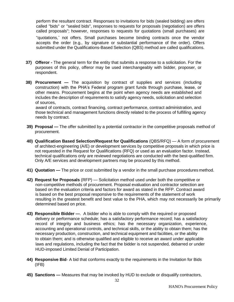perform the resultant contract. Responses to invitations for bids (sealed bidding) are offers called "bids" or "sealed bids", responses to requests for proposals (negotiation) are offers called proposals"; however, responses to requests for quotations (small purchases) are

"quotations," not offers. Small purchases become binding contracts once the vendor accepts the order (e.g., by signature or substantial performance of the order). Offers submitted under the Qualifications-Based Selection (QBS) method are called qualifications.

- **37) Offeror -** The general term for the entity that submits a response to a solicitation. For the purposes of this policy, offeror may be used interchangeably with bidder, proposer, or respondent.
- **38) Procurement —** The acquisition by contract of supplies and services (including construction) with the PHA's Federal program grant funds through purchase, lease, or other means. Procurement begins at the point when agency needs are established and includes the description of requirements to satisfy agency needs, solicitation and selection of sources,

 award of contracts, contract financing, contract performance, contract administration, and those technical and management functions directly related to the process of fulfilling agency needs by contract.

- **39) Proposal —** The offer submitted by a potential contractor in the competitive proposals method of procurement.
- **40) Qualification Based Selection/Request for Qualifications** (QBS/RFQ) A form of procurement of architect-engineering (A/E) or development services by competitive proposals in which price is not requested in the Request for Qualifications (RFQ) or used as an evaluation factor. Instead, technical qualifications only are reviewed negotiations are conducted with the best-qualified firm. Only A/E services and development partners may be procured by this method.
- **41) Quotation —** The price or cost submitted by a vendor in the small purchase procedures method.
- **42) Request for Proposals** (RFP) Solicitation method used under both the competitive or non-competitive methods of procurement. Proposal evaluation and contractor selection are based on the evaluation criteria and factors for award as stated in the RFP. Contract award is based on the best proposal responsive to the requirements of the statement of work resulting in the greatest benefit and best value to the PHA, which may not necessarily be primarily determined based on price.
- **43) Responsible Bidder —**. A bidder who is able to comply with the required or proposed delivery or performance schedule; has a satisfactory performance record; has a satisfactory record of integrity and business ethics; has the necessary organization, experience, accounting and operational controls, and technical skills, or the ability to obtain them; has the necessary production, construction, and technical equipment and facilities, or the ability to obtain them; and is otherwise qualified and eligible to receive an award under applicable laws and regulations, including the fact that the bidder is not suspended, debarred or under HUD-imposed Limited Denial of Participation.
- **44) Responsive Bid** A bid that conforms exactly to the requirements in the Invitation for Bids (IFB)
- **45) Sanctions —** Measures that may be invoked by HUD to exclude or disqualify contractors,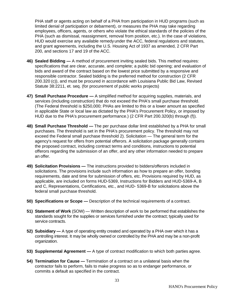PHA staff or agents acting on behalf of a PHA from participation in HUD programs (such as limited denial of participation or debarment), or measures the PHA may take regarding employees, officers, agents, or others who violate the ethical standards of the policies of the PHA (such as dismissal, reassignment, removal from position, etc.). In the case of violations, HUD would exercise any available remedyunder the ACC, federal regulations and statutes, and grant agreements, including the U.S. Housing Act of 1937 as amended, 2 CFR Part 200, and sections 17 and 19 of the ACC.

- **46) Sealed Bidding —** A method of procurement inviting sealed bids. This method requires: specifications that are clear, accurate, and complete; a public bid opening; and evaluation of bids and award of the contract based on the lowest price submitted by a responsive and responsible contractor. Sealed bidding is the preferred method for construction (2 CFR 200.320 (c)), and must be procured in accordance with Louisiana Public Bid Law, Revised Statute 38:2211, et. seq. (for procurement of public works projects)
- **47) Small Purchase Procedure —** A simplified method for acquiring supplies, materials, and services (including construction) that do not exceed the PHA's small purchase threshold. (The Federal threshold is \$250,000; PHAs are limited to this or a lower amount as specified in applicable State or local law as dictated by the PHA's Procurement Policy, or imposed by HUD due to the PHA's procurement performance.) (2 CFR Part 200.320(b) through (f)).
- **48) Small Purchase Threshold —** The per purchase dollar limit established by a PHA for small purchases. The threshold is set in the PHA's procurement policy. The threshold may not exceed the Federal small purchase threshold 2). Solicitation — The general term for the agency's request for offers from potential offerors. A solicitation package generally contains the proposed contract, including contract terms and conditions, instructions to potential offerors regarding the submission of an offer, and any other information needed to prepare an offer.
- **49) Solicitation Provisions —** The instructions provided to bidders/offerors included in solicitations. The provisions include such information as how to prepare an offer, bonding requirements, date and time for submission of offers, etc. Provisions required by HUD, as applicable, are included on forms HUD-5369, Instructions for Bidders and HUD-5369-A, B and C, Representations, Certifications, etc., and HUD- 5369-B for solicitations above the federal small purchase threshold.
- **50) Specifications or Scope —** Description of the technical requirements of a contract.
- **51) Statement of Work** (SOW) Written description of work to be performed that establishes the standards sought for the supplies or services furnished under the contract; typically used for service contracts.
- **52) Subsidiary —** A type of operating entity created and operated by a PHA over which it has a controlling interest. It may be wholly owned or controlled by the PHA and may be a non-profit organization.
- **53) Supplemental Agreement —** A type of contract modification to which both parties agree.
- **54) Termination for Cause —** Termination of a contract on a unilateral basis when the contractor fails to perform, fails to make progress so as to endanger performance, or commits a default as specified in the contract.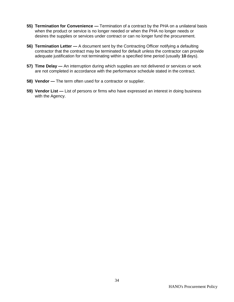- **55) Termination for Convenience —** Termination of a contract by the PHA on a unilateral basis when the product or service is no longer needed or when the PHA no longer needs or desires the supplies or services under contract or can no longer fund the procurement.
- **56) Termination Letter —** A document sent by the Contracting Officer notifying a defaulting contractor that the contract may be terminated for default unless the contractor can provide adequate justification for not terminating within a specified time period (usually **10** days).
- **57) Time Delay —** An interruption during which supplies are not delivered or services or work are not completed in accordance with the performance schedule stated in the contract.
- **58) Vendor —** The term often used for a contractor or supplier.
- **59) Vendor List —** List of persons or firms who have expressed an interest in doing business with the Agency.